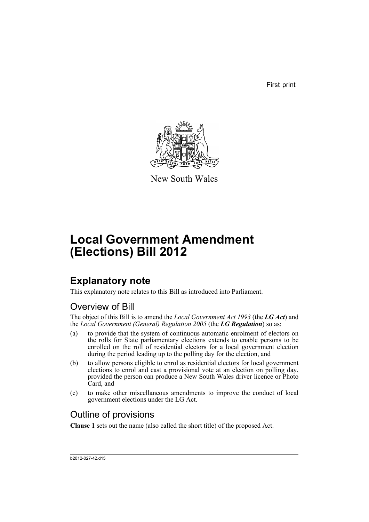First print



New South Wales

# **Local Government Amendment (Elections) Bill 2012**

# **Explanatory note**

This explanatory note relates to this Bill as introduced into Parliament.

# Overview of Bill

The object of this Bill is to amend the *Local Government Act 1993* (the *LG Act*) and the *Local Government (General) Regulation 2005* (the *LG Regulation*) so as:

- (a) to provide that the system of continuous automatic enrolment of electors on the rolls for State parliamentary elections extends to enable persons to be enrolled on the roll of residential electors for a local government election during the period leading up to the polling day for the election, and
- (b) to allow persons eligible to enrol as residential electors for local government elections to enrol and cast a provisional vote at an election on polling day, provided the person can produce a New South Wales driver licence or Photo Card, and
- (c) to make other miscellaneous amendments to improve the conduct of local government elections under the LG Act.

# Outline of provisions

**Clause 1** sets out the name (also called the short title) of the proposed Act.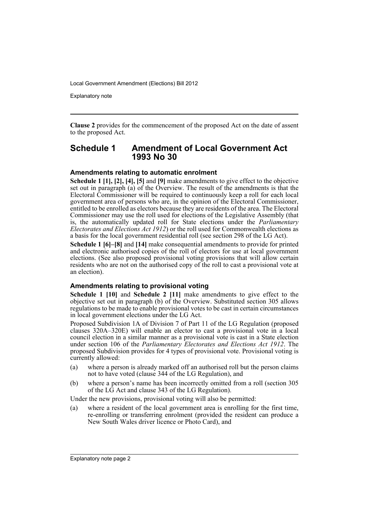Explanatory note

**Clause 2** provides for the commencement of the proposed Act on the date of assent to the proposed Act.

### **Schedule 1 Amendment of Local Government Act 1993 No 30**

#### **Amendments relating to automatic enrolment**

**Schedule 1 [1], [2], [4], [5]** and **[9]** make amendments to give effect to the objective set out in paragraph (a) of the Overview. The result of the amendments is that the Electoral Commissioner will be required to continuously keep a roll for each local government area of persons who are, in the opinion of the Electoral Commissioner, entitled to be enrolled as electors because they are residents of the area. The Electoral Commissioner may use the roll used for elections of the Legislative Assembly (that is, the automatically updated roll for State elections under the *Parliamentary Electorates and Elections Act 1912*) or the roll used for Commonwealth elections as a basis for the local government residential roll (see section 298 of the LG Act).

**Schedule 1 [6]–[8]** and **[14]** make consequential amendments to provide for printed and electronic authorised copies of the roll of electors for use at local government elections. (See also proposed provisional voting provisions that will allow certain residents who are not on the authorised copy of the roll to cast a provisional vote at an election).

#### **Amendments relating to provisional voting**

**Schedule 1 [10]** and **Schedule 2 [11]** make amendments to give effect to the objective set out in paragraph (b) of the Overview. Substituted section 305 allows regulations to be made to enable provisional votes to be cast in certain circumstances in local government elections under the LG Act.

Proposed Subdivision 1A of Division 7 of Part 11 of the LG Regulation (proposed clauses 320A–320E) will enable an elector to cast a provisional vote in a local council election in a similar manner as a provisional vote is cast in a State election under section 106 of the *Parliamentary Electorates and Elections Act 1912*. The proposed Subdivision provides for 4 types of provisional vote. Provisional voting is currently allowed:

- (a) where a person is already marked off an authorised roll but the person claims not to have voted (clause 344 of the LG Regulation), and
- (b) where a person's name has been incorrectly omitted from a roll (section 305 of the LG Act and clause 343 of the LG Regulation).

Under the new provisions, provisional voting will also be permitted:

(a) where a resident of the local government area is enrolling for the first time, re-enrolling or transferring enrolment (provided the resident can produce a New South Wales driver licence or Photo Card), and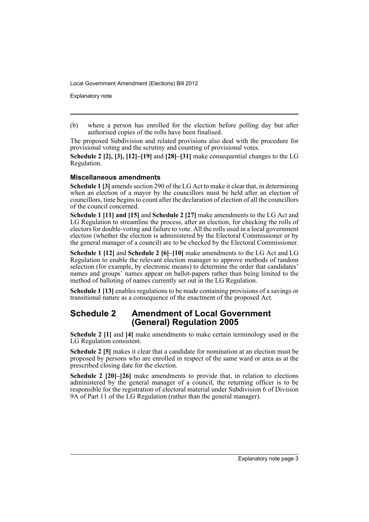Explanatory note

(b) where a person has enrolled for the election before polling day but after authorised copies of the rolls have been finalised.

The proposed Subdivision and related provisions also deal with the procedure for provisional voting and the scrutiny and counting of provisional votes.

**Schedule 2 [2], [3], [12]–[19]** and **[28]–[31]** make consequential changes to the LG Regulation.

#### **Miscellaneous amendments**

**Schedule 1 [3]** amends section 290 of the LG Act to make it clear that, in determining when an election of a mayor by the councillors must be held after an election of councillors, time begins to count after the declaration of election of all the councillors of the council concerned.

**Schedule 1 [11] and [15]** and **Schedule 2 [27]** make amendments to the LG Act and LG Regulation to streamline the process, after an election, for checking the rolls of electors for double-voting and failure to vote. All the rolls used in a local government election (whether the election is administered by the Electoral Commissioner or by the general manager of a council) are to be checked by the Electoral Commissioner.

**Schedule 1 [12]** and **Schedule 2 [6]–[10]** make amendments to the LG Act and LG Regulation to enable the relevant election manager to approve methods of random selection (for example, by electronic means) to determine the order that candidates' names and groups' names appear on ballot-papers rather than being limited to the method of balloting of names currently set out in the LG Regulation.

**Schedule 1 [13]** enables regulations to be made containing provisions of a savings or transitional nature as a consequence of the enactment of the proposed Act.

## **Schedule 2 Amendment of Local Government (General) Regulation 2005**

**Schedule 2 [1]** and **[4]** make amendments to make certain terminology used in the LG Regulation consistent.

**Schedule 2 [5]** makes it clear that a candidate for nomination at an election must be proposed by persons who are enrolled in respect of the same ward or area as at the prescribed closing date for the election.

**Schedule 2 [20]–[26]** make amendments to provide that, in relation to elections administered by the general manager of a council, the returning officer is to be responsible for the registration of electoral material under Subdivision 6 of Division 9A of Part 11 of the LG Regulation (rather than the general manager).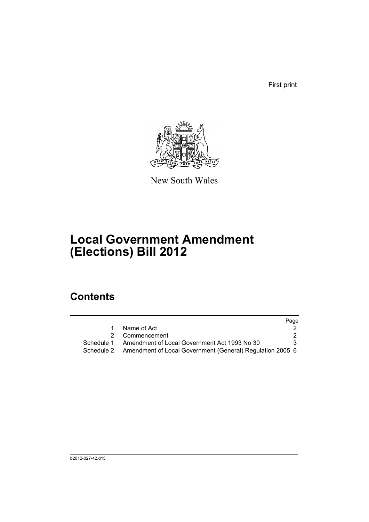First print



New South Wales

# **Local Government Amendment (Elections) Bill 2012**

# **Contents**

|            |                                                           | Page |
|------------|-----------------------------------------------------------|------|
|            | Name of Act                                               |      |
|            | Commencement                                              |      |
| Schedule 1 | Amendment of Local Government Act 1993 No 30              | 3.   |
| Schedule 2 | Amendment of Local Government (General) Regulation 2005 6 |      |
|            |                                                           |      |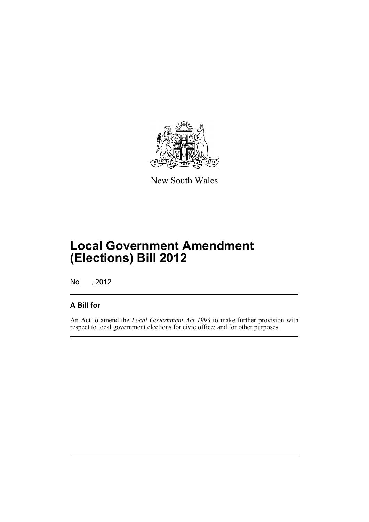

New South Wales

# **Local Government Amendment (Elections) Bill 2012**

No , 2012

## **A Bill for**

An Act to amend the *Local Government Act 1993* to make further provision with respect to local government elections for civic office; and for other purposes.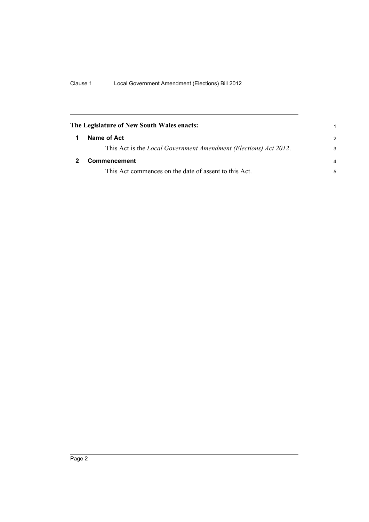<span id="page-7-1"></span><span id="page-7-0"></span>

| The Legislature of New South Wales enacts: |                                                                          |                |
|--------------------------------------------|--------------------------------------------------------------------------|----------------|
|                                            | Name of Act                                                              | $\mathcal{P}$  |
|                                            | This Act is the <i>Local Government Amendment (Elections) Act 2012</i> . | 3              |
|                                            | Commencement                                                             | $\overline{a}$ |
|                                            | This Act commences on the date of assent to this Act.                    | 5              |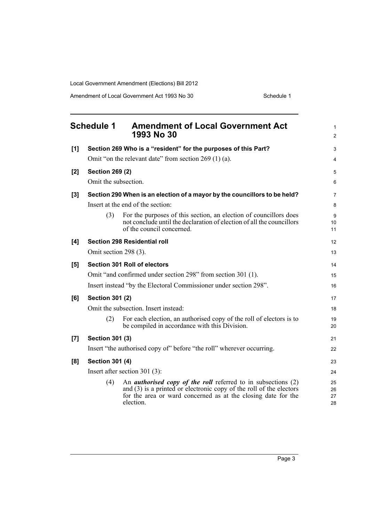<span id="page-8-0"></span>

|       | <b>Schedule 1</b>      | <b>Amendment of Local Government Act</b><br>1993 No 30                                                                                                                                                                        | $\mathbf{1}$<br>2    |
|-------|------------------------|-------------------------------------------------------------------------------------------------------------------------------------------------------------------------------------------------------------------------------|----------------------|
| [1]   |                        | Section 269 Who is a "resident" for the purposes of this Part?                                                                                                                                                                | 3                    |
|       |                        | Omit "on the relevant date" from section $269(1)(a)$ .                                                                                                                                                                        | $\overline{4}$       |
| [2]   | <b>Section 269 (2)</b> |                                                                                                                                                                                                                               | 5                    |
|       | Omit the subsection.   |                                                                                                                                                                                                                               | 6                    |
| $[3]$ |                        | Section 290 When is an election of a mayor by the councillors to be held?                                                                                                                                                     | $\overline{7}$       |
|       |                        | Insert at the end of the section:                                                                                                                                                                                             | 8                    |
|       | (3)                    | For the purposes of this section, an election of councillors does<br>not conclude until the declaration of election of all the councillors<br>of the council concerned.                                                       | 9<br>10<br>11        |
| [4]   |                        | <b>Section 298 Residential roll</b>                                                                                                                                                                                           | 12                   |
|       | Omit section 298 (3).  |                                                                                                                                                                                                                               | 13                   |
| [5]   |                        | Section 301 Roll of electors                                                                                                                                                                                                  | 14                   |
|       |                        | Omit "and confirmed under section 298" from section 301 (1).                                                                                                                                                                  | 15                   |
|       |                        | Insert instead "by the Electoral Commissioner under section 298".                                                                                                                                                             | 16                   |
| [6]   | <b>Section 301 (2)</b> |                                                                                                                                                                                                                               | 17                   |
|       |                        | Omit the subsection. Insert instead:                                                                                                                                                                                          | 18                   |
|       | (2)                    | For each election, an authorised copy of the roll of electors is to<br>be compiled in accordance with this Division.                                                                                                          | 19<br>20             |
| [7]   | <b>Section 301 (3)</b> |                                                                                                                                                                                                                               | 21                   |
|       |                        | Insert "the authorised copy of" before "the roll" wherever occurring.                                                                                                                                                         | 22                   |
| [8]   | <b>Section 301 (4)</b> |                                                                                                                                                                                                                               | 23                   |
|       |                        | Insert after section 301 $(3)$ :                                                                                                                                                                                              | 24                   |
|       | (4)                    | An <i>authorised copy of the roll</i> referred to in subsections $(2)$<br>and $(3)$ is a printed or electronic copy of the roll of the electors<br>for the area or ward concerned as at the closing date for the<br>election. | 25<br>26<br>27<br>28 |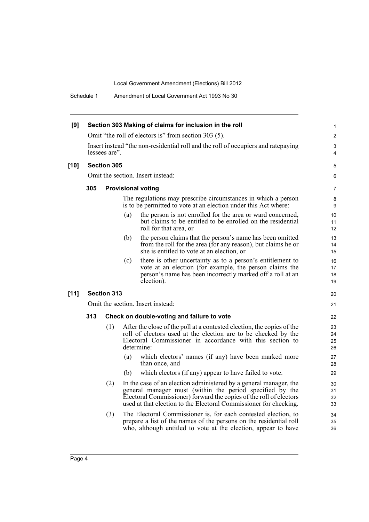Schedule 1 Amendment of Local Government Act 1993 No 30

| [9]    |     |                    |     | Section 303 Making of claims for inclusion in the roll                                                                                                                                                                                                                   | $\mathbf{1}$         |
|--------|-----|--------------------|-----|--------------------------------------------------------------------------------------------------------------------------------------------------------------------------------------------------------------------------------------------------------------------------|----------------------|
|        |     |                    |     | Omit "the roll of electors is" from section 303 (5).                                                                                                                                                                                                                     | $\overline{2}$       |
|        |     | lessees are".      |     | Insert instead "the non-residential roll and the roll of occupiers and ratepaying                                                                                                                                                                                        | 3<br>4               |
| $[10]$ |     | Section 305        |     |                                                                                                                                                                                                                                                                          | 5                    |
|        |     |                    |     | Omit the section. Insert instead:                                                                                                                                                                                                                                        | 6                    |
|        | 305 |                    |     | <b>Provisional voting</b>                                                                                                                                                                                                                                                | 7                    |
|        |     |                    |     | The regulations may prescribe circumstances in which a person<br>is to be permitted to vote at an election under this Act where:                                                                                                                                         | 8<br>9               |
|        |     |                    | (a) | the person is not enrolled for the area or ward concerned,<br>but claims to be entitled to be enrolled on the residential<br>roll for that area, or                                                                                                                      | 10<br>11<br>12       |
|        |     |                    | (b) | the person claims that the person's name has been omitted<br>from the roll for the area (for any reason), but claims he or<br>she is entitled to vote at an election, or                                                                                                 | 13<br>14<br>15       |
|        |     |                    | (c) | there is other uncertainty as to a person's entitlement to<br>vote at an election (for example, the person claims the<br>person's name has been incorrectly marked off a roll at an<br>election).                                                                        | 16<br>17<br>18<br>19 |
| $[11]$ |     | <b>Section 313</b> |     |                                                                                                                                                                                                                                                                          | 20                   |
|        |     |                    |     | Omit the section. Insert instead:                                                                                                                                                                                                                                        | 21                   |
|        | 313 |                    |     | Check on double-voting and failure to vote                                                                                                                                                                                                                               | 22                   |
|        |     | (1)                |     | After the close of the poll at a contested election, the copies of the<br>roll of electors used at the election are to be checked by the<br>Electoral Commissioner in accordance with this section to<br>determine:                                                      | 23<br>24<br>25<br>26 |
|        |     |                    | (a) | which electors' names (if any) have been marked more<br>than once, and                                                                                                                                                                                                   | 27<br>28             |
|        |     |                    | (b) | which electors (if any) appear to have failed to vote.                                                                                                                                                                                                                   | 29                   |
|        |     | (2)                |     | In the case of an election administered by a general manager, the<br>general manager must (within the period specified by the<br>Electoral Commissioner) forward the copies of the roll of electors<br>used at that election to the Electoral Commissioner for checking. | 30<br>31<br>32<br>33 |
|        |     | (3)                |     | The Electoral Commissioner is, for each contested election, to<br>prepare a list of the names of the persons on the residential roll<br>who, although entitled to vote at the election, appear to have                                                                   | 34<br>35<br>36       |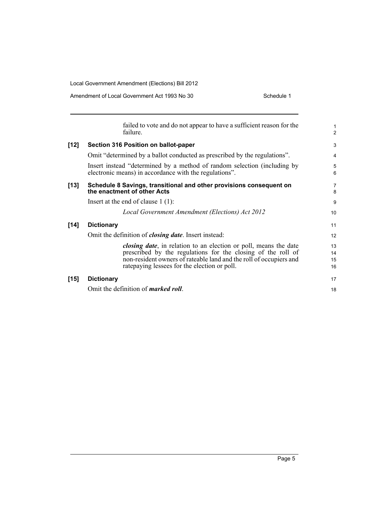|        | failed to vote and do not appear to have a sufficient reason for the<br>failure.                                                                                                                                                                                | $\mathbf{1}$<br>$\overline{2}$ |
|--------|-----------------------------------------------------------------------------------------------------------------------------------------------------------------------------------------------------------------------------------------------------------------|--------------------------------|
| $[12]$ | Section 316 Position on ballot-paper                                                                                                                                                                                                                            | 3                              |
|        | Omit "determined by a ballot conducted as prescribed by the regulations".                                                                                                                                                                                       | 4                              |
|        | Insert instead "determined by a method of random selection (including by<br>electronic means) in accordance with the regulations".                                                                                                                              | 5<br>6                         |
| $[13]$ | Schedule 8 Savings, transitional and other provisions consequent on<br>the enactment of other Acts                                                                                                                                                              | $\overline{7}$<br>8            |
|        | Insert at the end of clause $1(1)$ :                                                                                                                                                                                                                            | 9                              |
|        | Local Government Amendment (Elections) Act 2012                                                                                                                                                                                                                 | 10                             |
| $[14]$ | <b>Dictionary</b>                                                                                                                                                                                                                                               | 11                             |
|        | Omit the definition of <i>closing date</i> . Insert instead:                                                                                                                                                                                                    | 12                             |
|        | <i>closing date</i> , in relation to an election or poll, means the date<br>prescribed by the regulations for the closing of the roll of<br>non-resident owners of rateable land and the roll of occupiers and<br>rate paying lessees for the election or poll. | 13<br>14<br>15<br>16           |
| $[15]$ | <b>Dictionary</b>                                                                                                                                                                                                                                               | 17                             |
|        | Omit the definition of <i>marked roll</i> .                                                                                                                                                                                                                     | 18                             |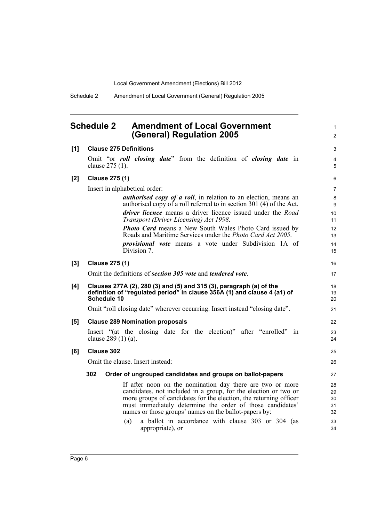1 2

Schedule 2 Amendment of Local Government (General) Regulation 2005

## <span id="page-11-0"></span>**Schedule 2 Amendment of Local Government (General) Regulation 2005**

| [1]   | <b>Clause 275 Definitions</b>                                                                                                | 3              |
|-------|------------------------------------------------------------------------------------------------------------------------------|----------------|
|       | Omit "or <i>roll closing date</i> " from the definition of <i>closing date</i> in                                            | $\overline{4}$ |
|       | clause 275 (1).                                                                                                              | 5              |
| $[2]$ | <b>Clause 275 (1)</b>                                                                                                        | 6              |
|       | Insert in alphabetical order:                                                                                                | $\overline{7}$ |
|       | <i>authorised copy of a roll</i> , in relation to an election, means an                                                      | 8              |
|       | authorised copy of a roll referred to in section 301 (4) of the Act.                                                         | 9              |
|       | driver licence means a driver licence issued under the Road<br>Transport (Driver Licensing) Act 1998.                        | 10<br>11       |
|       | <b>Photo Card</b> means a New South Wales Photo Card issued by                                                               | 12             |
|       | Roads and Maritime Services under the <i>Photo Card Act 2005</i> .                                                           | 13             |
|       | <i>provisional vote</i> means a vote under Subdivision 1A of                                                                 | 14             |
|       | Division 7.                                                                                                                  | 15             |
| [3]   | <b>Clause 275 (1)</b>                                                                                                        | 16             |
|       | Omit the definitions of section 305 vote and tendered vote.                                                                  | 17             |
| [4]   | Clauses 277A (2), 280 (3) and (5) and 315 (3), paragraph (a) of the                                                          | 18             |
|       | definition of "regulated period" in clause 356A (1) and clause 4 (a1) of<br><b>Schedule 10</b>                               | 19<br>20       |
|       |                                                                                                                              |                |
|       | Omit "roll closing date" wherever occurring. Insert instead "closing date".                                                  | 21             |
| [5]   | <b>Clause 289 Nomination proposals</b>                                                                                       | 22             |
|       | Insert "(at the closing date for the election)" after "enrolled" in                                                          | 23             |
|       | clause 289 (1) (a).                                                                                                          | 24             |
| [6]   | <b>Clause 302</b>                                                                                                            | 25             |
|       | Omit the clause. Insert instead:                                                                                             | 26             |
|       | 302<br>Order of ungrouped candidates and groups on ballot-papers                                                             | 27             |
|       |                                                                                                                              |                |
|       | If after noon on the nomination day there are two or more<br>candidates, not included in a group, for the election or two or | 28<br>29       |
|       | more groups of candidates for the election, the returning officer                                                            | 30             |
|       | must immediately determine the order of those candidates'                                                                    | 31             |
|       | names or those groups' names on the ballot-papers by:                                                                        | 32             |
|       | a ballot in accordance with clause 303 or 304 (as<br>(a)                                                                     | 33             |
|       | appropriate), or                                                                                                             | 34             |
|       |                                                                                                                              |                |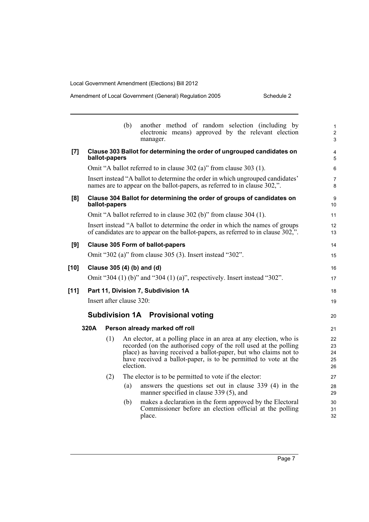| Amendment of Local Government (General) Regulation 2005 | Schedule 2 |
|---------------------------------------------------------|------------|
|---------------------------------------------------------|------------|

|        |      |               | (b)                      | another method of random selection (including by<br>electronic means) approved by the relevant election<br>manager.                                                                                                                                                         | 1<br>$\overline{c}$<br>3   |
|--------|------|---------------|--------------------------|-----------------------------------------------------------------------------------------------------------------------------------------------------------------------------------------------------------------------------------------------------------------------------|----------------------------|
| [7]    |      | ballot-papers |                          | Clause 303 Ballot for determining the order of ungrouped candidates on                                                                                                                                                                                                      | 4<br>5                     |
|        |      |               |                          | Omit "A ballot referred to in clause 302 (a)" from clause 303 (1).                                                                                                                                                                                                          | 6                          |
|        |      |               |                          | Insert instead "A ballot to determine the order in which ungrouped candidates"<br>names are to appear on the ballot-papers, as referred to in clause 302,".                                                                                                                 | 7<br>8                     |
| [8]    |      | ballot-papers |                          | Clause 304 Ballot for determining the order of groups of candidates on                                                                                                                                                                                                      | 9<br>10                    |
|        |      |               |                          | Omit "A ballot referred to in clause 302 (b)" from clause 304 (1).                                                                                                                                                                                                          | 11                         |
|        |      |               |                          | Insert instead "A ballot to determine the order in which the names of groups<br>of candidates are to appear on the ballot-papers, as referred to in clause 302,".                                                                                                           | 12<br>13                   |
| [9]    |      |               |                          | <b>Clause 305 Form of ballot-papers</b>                                                                                                                                                                                                                                     | 14                         |
|        |      |               |                          | Omit "302 (a)" from clause 305 (3). Insert instead "302".                                                                                                                                                                                                                   | 15                         |
| [10]   |      |               |                          | Clause 305 (4) (b) and (d)                                                                                                                                                                                                                                                  | 16                         |
|        |      |               |                          | Omit "304 (1) (b)" and "304 (1) (a)", respectively. Insert instead "302".                                                                                                                                                                                                   | 17                         |
| $[11]$ |      |               |                          | Part 11, Division 7, Subdivision 1A                                                                                                                                                                                                                                         | 18                         |
|        |      |               | Insert after clause 320: |                                                                                                                                                                                                                                                                             | 19                         |
|        |      |               |                          | <b>Subdivision 1A</b> Provisional voting                                                                                                                                                                                                                                    | 20                         |
|        | 320A |               |                          | Person already marked off roll                                                                                                                                                                                                                                              | 21                         |
|        |      | (1)           | election.                | An elector, at a polling place in an area at any election, who is<br>recorded (on the authorised copy of the roll used at the polling<br>place) as having received a ballot-paper, but who claims not to<br>have received a ballot-paper, is to be permitted to vote at the | 22<br>23<br>24<br>25<br>26 |
|        |      | (2)           |                          | The elector is to be permitted to vote if the elector:                                                                                                                                                                                                                      | 27                         |
|        |      |               | (a)                      | answers the questions set out in clause 339 (4) in the<br>manner specified in clause 339 (5), and                                                                                                                                                                           | 28<br>29                   |
|        |      |               | (b)                      | makes a declaration in the form approved by the Electoral<br>Commissioner before an election official at the polling<br>place.                                                                                                                                              | 30<br>31<br>32             |
|        |      |               |                          |                                                                                                                                                                                                                                                                             |                            |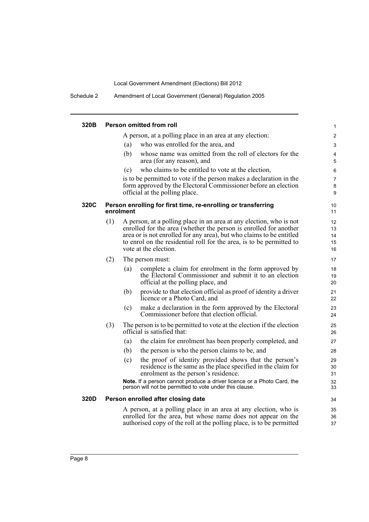Schedule 2 Amendment of Local Government (General) Regulation 2005

| 320B |     |           | Person omitted from roll                                                                                                                                                                                                                                                                                          | $\mathbf{1}$               |
|------|-----|-----------|-------------------------------------------------------------------------------------------------------------------------------------------------------------------------------------------------------------------------------------------------------------------------------------------------------------------|----------------------------|
|      |     |           | A person, at a polling place in an area at any election:                                                                                                                                                                                                                                                          | $\overline{2}$             |
|      |     | (a)       | who was enrolled for the area, and                                                                                                                                                                                                                                                                                | 3                          |
|      |     | (b)       | whose name was omitted from the roll of electors for the<br>area (for any reason), and                                                                                                                                                                                                                            | 4<br>5                     |
|      |     | (c)       | who claims to be entitled to vote at the election,                                                                                                                                                                                                                                                                | 6                          |
|      |     |           | is to be permitted to vote if the person makes a declaration in the<br>form approved by the Electoral Commissioner before an election<br>official at the polling place.                                                                                                                                           | $\overline{7}$<br>8<br>9   |
| 320C |     | enrolment | Person enrolling for first time, re-enrolling or transferring                                                                                                                                                                                                                                                     | 10<br>11                   |
|      | (1) |           | A person, at a polling place in an area at any election, who is not<br>enrolled for the area (whether the person is enrolled for another<br>area or is not enrolled for any area), but who claims to be entitled<br>to enrol on the residential roll for the area, is to be permitted to<br>vote at the election. | 12<br>13<br>14<br>15<br>16 |
|      | (2) |           | The person must:                                                                                                                                                                                                                                                                                                  | 17                         |
|      |     | (a)       | complete a claim for enrolment in the form approved by<br>the Electoral Commissioner and submit it to an election<br>official at the polling place, and                                                                                                                                                           | 18<br>19<br>20             |
|      |     | (b)       | provide to that election official as proof of identity a driver<br>licence or a Photo Card, and                                                                                                                                                                                                                   | 21<br>22                   |
|      |     | (c)       | make a declaration in the form approved by the Electoral<br>Commissioner before that election official.                                                                                                                                                                                                           | 23<br>24                   |
|      | (3) |           | The person is to be permitted to vote at the election if the election<br>official is satisfied that:                                                                                                                                                                                                              | 25<br>26                   |
|      |     | (a)       | the claim for enrolment has been properly completed, and                                                                                                                                                                                                                                                          | 27                         |
|      |     | (b)       | the person is who the person claims to be, and                                                                                                                                                                                                                                                                    | 28                         |
|      |     | (c)       | the proof of identity provided shows that the person's<br>residence is the same as the place specified in the claim for<br>enrolment as the person's residence.                                                                                                                                                   | 29<br>30<br>31             |
|      |     |           | Note. If a person cannot produce a driver licence or a Photo Card, the<br>person will not be permitted to vote under this clause.                                                                                                                                                                                 | 32<br>33                   |
| 320D |     |           | Person enrolled after closing date                                                                                                                                                                                                                                                                                | 34                         |
|      |     |           | A person, at a polling place in an area at any election, who is<br>enrolled for the area, but whose name does not appear on the<br>authorised copy of the roll at the polling place, is to be permitted                                                                                                           | 35<br>36<br>37             |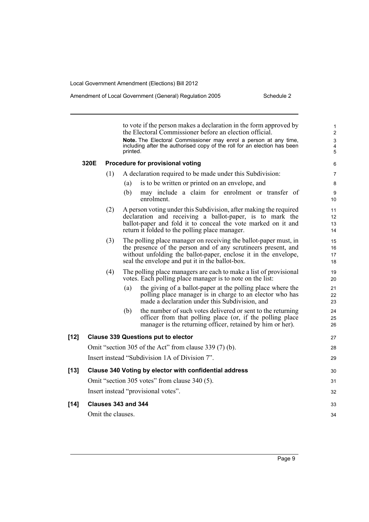Amendment of Local Government (General) Regulation 2005

| Schedule 2 |
|------------|
|------------|

|        |      |                     | printed. | to vote if the person makes a declaration in the form approved by<br>the Electoral Commissioner before an election official.<br>Note. The Electoral Commissioner may enrol a person at any time,<br>including after the authorised copy of the roll for an election has been | 1<br>$\overline{2}$<br>3<br>4<br>5 |
|--------|------|---------------------|----------|------------------------------------------------------------------------------------------------------------------------------------------------------------------------------------------------------------------------------------------------------------------------------|------------------------------------|
|        | 320E |                     |          | Procedure for provisional voting                                                                                                                                                                                                                                             | 6                                  |
|        |      | (1)                 |          | A declaration required to be made under this Subdivision:                                                                                                                                                                                                                    | $\overline{7}$                     |
|        |      |                     | (a)      | is to be written or printed on an envelope, and                                                                                                                                                                                                                              | 8                                  |
|        |      |                     | (b)      | may include a claim for enrolment or transfer of<br>enrolment.                                                                                                                                                                                                               | 9<br>10                            |
|        |      | (2)                 |          | A person voting under this Subdivision, after making the required                                                                                                                                                                                                            | 11                                 |
|        |      |                     |          | declaration and receiving a ballot-paper, is to mark the<br>ballot-paper and fold it to conceal the vote marked on it and                                                                                                                                                    | 12<br>13                           |
|        |      |                     |          | return it folded to the polling place manager.                                                                                                                                                                                                                               | 14                                 |
|        |      | (3)                 |          | The polling place manager on receiving the ballot-paper must, in                                                                                                                                                                                                             | 15                                 |
|        |      |                     |          | the presence of the person and of any scrutineers present, and<br>without unfolding the ballot-paper, enclose it in the envelope,                                                                                                                                            | 16<br>17                           |
|        |      |                     |          | seal the envelope and put it in the ballot-box.                                                                                                                                                                                                                              | 18                                 |
|        |      | (4)                 |          | The polling place managers are each to make a list of provisional<br>votes. Each polling place manager is to note on the list:                                                                                                                                               | 19<br>20                           |
|        |      |                     | (a)      | the giving of a ballot-paper at the polling place where the<br>polling place manager is in charge to an elector who has<br>made a declaration under this Subdivision, and                                                                                                    | 21<br>22<br>23                     |
|        |      |                     | (b)      | the number of such votes delivered or sent to the returning<br>officer from that polling place (or, if the polling place<br>manager is the returning officer, retained by him or her).                                                                                       | 24<br>25<br>26                     |
| $[12]$ |      |                     |          | <b>Clause 339 Questions put to elector</b>                                                                                                                                                                                                                                   | 27                                 |
|        |      |                     |          | Omit "section 305 of the Act" from clause 339 (7) (b).                                                                                                                                                                                                                       | 28                                 |
|        |      |                     |          | Insert instead "Subdivision 1A of Division 7".                                                                                                                                                                                                                               | 29                                 |
| $[13]$ |      |                     |          | Clause 340 Voting by elector with confidential address                                                                                                                                                                                                                       | 30                                 |
|        |      |                     |          | Omit "section 305 votes" from clause 340 (5).                                                                                                                                                                                                                                | 31                                 |
|        |      |                     |          | Insert instead "provisional votes".                                                                                                                                                                                                                                          | 32                                 |
| $[14]$ |      | Clauses 343 and 344 |          |                                                                                                                                                                                                                                                                              | 33                                 |
|        |      | Omit the clauses.   |          |                                                                                                                                                                                                                                                                              | 34                                 |
|        |      |                     |          |                                                                                                                                                                                                                                                                              |                                    |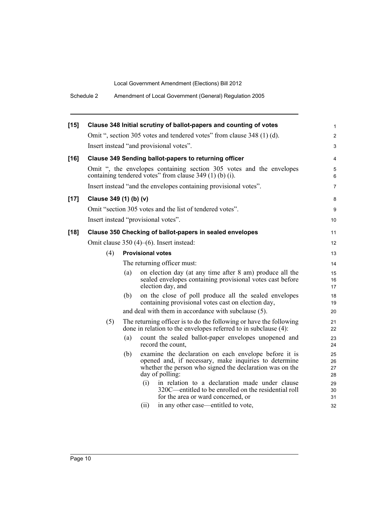| Schedule 2 | Amendment of Local Government (General) Regulation 2005 |
|------------|---------------------------------------------------------|
|------------|---------------------------------------------------------|

| $[15]$ |                        | Clause 348 Initial scrutiny of ballot-papers and counting of votes                                                                                                                                   | $\mathbf{1}$         |
|--------|------------------------|------------------------------------------------------------------------------------------------------------------------------------------------------------------------------------------------------|----------------------|
|        |                        | Omit ", section 305 votes and tendered votes" from clause 348 (1) (d).                                                                                                                               | $\overline{2}$       |
|        |                        | Insert instead "and provisional votes".                                                                                                                                                              | 3                    |
| $[16]$ |                        | <b>Clause 349 Sending ballot-papers to returning officer</b>                                                                                                                                         | 4                    |
|        |                        | Omit ", the envelopes containing section 305 votes and the envelopes<br>containing tendered votes" from clause 349 (1) (b) (i).                                                                      | 5<br>6               |
|        |                        | Insert instead "and the envelopes containing provisional votes".                                                                                                                                     | 7                    |
| $[17]$ | Clause 349 (1) (b) (v) |                                                                                                                                                                                                      | 8                    |
|        |                        | Omit "section 305 votes and the list of tendered votes".                                                                                                                                             | 9                    |
|        |                        | Insert instead "provisional votes".                                                                                                                                                                  | 10                   |
| $[18]$ |                        | Clause 350 Checking of ballot-papers in sealed envelopes                                                                                                                                             | 11                   |
|        |                        | Omit clause $350(4)$ – $(6)$ . Insert instead:                                                                                                                                                       | $12 \overline{ }$    |
|        | (4)                    | <b>Provisional votes</b>                                                                                                                                                                             | 13                   |
|        |                        | The returning officer must:                                                                                                                                                                          | 14                   |
|        |                        | on election day (at any time after 8 am) produce all the<br>(a)<br>sealed envelopes containing provisional votes cast before<br>election day, and                                                    | 15<br>16<br>17       |
|        |                        | on the close of poll produce all the sealed envelopes<br>(b)<br>containing provisional votes cast on election day,                                                                                   | 18<br>19             |
|        |                        | and deal with them in accordance with subclause (5).                                                                                                                                                 | 20                   |
|        | (5)                    | The returning officer is to do the following or have the following<br>done in relation to the envelopes referred to in subclause (4):                                                                | 21<br>22             |
|        |                        | (a)<br>count the sealed ballot-paper envelopes unopened and<br>record the count.                                                                                                                     | 23<br>24             |
|        |                        | examine the declaration on each envelope before it is<br>(b)<br>opened and, if necessary, make inquiries to determine<br>whether the person who signed the declaration was on the<br>day of polling: | 25<br>26<br>27<br>28 |
|        |                        | (i)<br>in relation to a declaration made under clause<br>320C—entitled to be enrolled on the residential roll<br>for the area or ward concerned, or                                                  | 29<br>30<br>31       |
|        |                        | in any other case—entitled to vote,<br>(ii)                                                                                                                                                          | 32                   |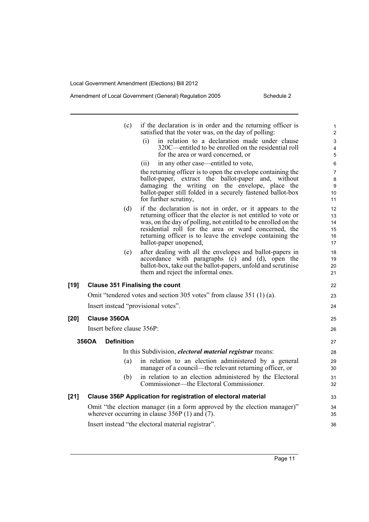|        |                                                                                                                                | (c)               | if the declaration is in order and the returning officer is<br>satisfied that the voter was, on the day of polling:    | 1<br>$\overline{2}$ |
|--------|--------------------------------------------------------------------------------------------------------------------------------|-------------------|------------------------------------------------------------------------------------------------------------------------|---------------------|
|        |                                                                                                                                |                   | (i)<br>in relation to a declaration made under clause                                                                  | 3                   |
|        |                                                                                                                                |                   | 320C—entitled to be enrolled on the residential roll                                                                   | 4                   |
|        |                                                                                                                                |                   | for the area or ward concerned, or                                                                                     | 5                   |
|        |                                                                                                                                |                   | (ii)<br>in any other case—entitled to vote,                                                                            | 6                   |
|        |                                                                                                                                |                   | the returning officer is to open the envelope containing the<br>ballot-paper, extract the ballot-paper and, without    | 7<br>8              |
|        |                                                                                                                                |                   | damaging the writing on the envelope, place the<br>ballot-paper still folded in a securely fastened ballot-box         | 9<br>10             |
|        |                                                                                                                                |                   | for further scrutiny,                                                                                                  | 11                  |
|        |                                                                                                                                | (d)               | if the declaration is not in order, or it appears to the                                                               | 12                  |
|        |                                                                                                                                |                   | returning officer that the elector is not entitled to vote or                                                          | 13                  |
|        |                                                                                                                                |                   | was, on the day of polling, not entitled to be enrolled on the<br>residential roll for the area or ward concerned, the | 14<br>15            |
|        |                                                                                                                                |                   | returning officer is to leave the envelope containing the                                                              | 16                  |
|        |                                                                                                                                |                   | ballot-paper unopened,                                                                                                 | 17                  |
|        |                                                                                                                                | (e)               | after dealing with all the envelopes and ballot-papers in                                                              | 18                  |
|        |                                                                                                                                |                   | accordance with paragraphs (c) and (d), open the<br>ballot-box, take out the ballot-papers, unfold and scrutinise      | 19<br>20            |
|        |                                                                                                                                |                   | them and reject the informal ones.                                                                                     | 21                  |
| $[19]$ |                                                                                                                                |                   | <b>Clause 351 Finalising the count</b>                                                                                 | 22                  |
|        |                                                                                                                                |                   | Omit "tendered votes and section 305 votes" from clause 351 (1) (a).                                                   | 23                  |
|        |                                                                                                                                |                   | Insert instead "provisional votes".                                                                                    | 24                  |
| $[20]$ | Clause 356OA                                                                                                                   |                   |                                                                                                                        | 25                  |
|        | Insert before clause 356P:                                                                                                     |                   |                                                                                                                        | 26                  |
|        | 356OA                                                                                                                          | <b>Definition</b> |                                                                                                                        | 27                  |
|        |                                                                                                                                |                   | In this Subdivision, <i>electoral material registrar</i> means:                                                        | 28                  |
|        |                                                                                                                                | (a)               | in relation to an election administered by a general<br>manager of a council—the relevant returning officer, or        | 29<br>30            |
|        |                                                                                                                                | (b)               | in relation to an election administered by the Electoral<br>Commissioner—the Electoral Commissioner.                   | 31<br>32            |
| $[21]$ |                                                                                                                                |                   | Clause 356P Application for registration of electoral material                                                         | 33                  |
|        | Omit "the election manager (in a form approved by the election manager)"<br>wherever occurring in clause $356P(1)$ and $(7)$ . |                   |                                                                                                                        |                     |
|        |                                                                                                                                |                   | Insert instead "the electoral material registrar".                                                                     | 36                  |
|        |                                                                                                                                |                   |                                                                                                                        |                     |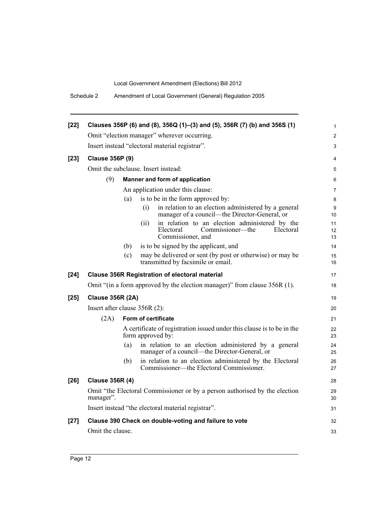| Schedule 2 | Amendment of Local Government (General) Regulation 2005 |
|------------|---------------------------------------------------------|
|------------|---------------------------------------------------------|

| $[22]$ |                                                       |     | Clauses 356P (6) and (8), 356Q (1)-(3) and (5), 356R (7) (b) and 356S (1)                                                | 1              |
|--------|-------------------------------------------------------|-----|--------------------------------------------------------------------------------------------------------------------------|----------------|
|        |                                                       |     | Omit "election manager" wherever occurring.                                                                              | $\overline{c}$ |
|        |                                                       |     | Insert instead "electoral material registrar".                                                                           | 3              |
| $[23]$ | <b>Clause 356P (9)</b>                                |     |                                                                                                                          | 4              |
|        |                                                       |     | Omit the subclause. Insert instead:                                                                                      | 5              |
|        | (9)                                                   |     | Manner and form of application                                                                                           | 6              |
|        |                                                       |     | An application under this clause:                                                                                        | $\overline{7}$ |
|        |                                                       | (a) | is to be in the form approved by:                                                                                        | 8              |
|        |                                                       |     | in relation to an election administered by a general<br>(i)<br>manager of a council—the Director-General, or             | 9<br>10        |
|        |                                                       |     | in relation to an election administered by the<br>(i)<br>Electoral<br>Commissioner—the<br>Electoral<br>Commissioner, and | 11<br>12<br>13 |
|        |                                                       | (b) | is to be signed by the applicant, and                                                                                    | 14             |
|        |                                                       | (c) | may be delivered or sent (by post or otherwise) or may be<br>transmitted by facsimile or email.                          | 15<br>16       |
| $[24]$ | <b>Clause 356R Registration of electoral material</b> |     |                                                                                                                          | 17             |
|        |                                                       |     | Omit "(in a form approved by the election manager)" from clause 356R (1).                                                | 18             |
| $[25]$ | <b>Clause 356R (2A)</b>                               |     |                                                                                                                          | 19             |
|        | Insert after clause 356R (2):                         |     |                                                                                                                          | 20             |
|        | (2A)                                                  |     | <b>Form of certificate</b>                                                                                               | 21             |
|        |                                                       |     | A certificate of registration issued under this clause is to be in the<br>form approved by:                              | 22<br>23       |
|        |                                                       | (a) | in relation to an election administered by a general<br>manager of a council—the Director-General, or                    | 24<br>25       |
|        |                                                       | (b) | in relation to an election administered by the Electoral<br>Commissioner—the Electoral Commissioner.                     | 26<br>27       |
| $[26]$ | <b>Clause 356R (4)</b>                                |     |                                                                                                                          | 28             |
|        | manager".                                             |     | Omit "the Electoral Commissioner or by a person authorised by the election                                               | 29<br>30       |
|        |                                                       |     | Insert instead "the electoral material registrar".                                                                       | 31             |
| $[27]$ |                                                       |     | Clause 390 Check on double-voting and failure to vote                                                                    | 32             |
|        | Omit the clause.                                      |     |                                                                                                                          | 33             |
|        |                                                       |     |                                                                                                                          |                |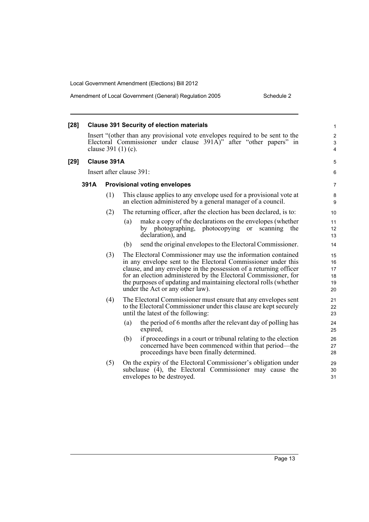| $[28]$ |      |             | <b>Clause 391 Security of election materials</b>                                                                                                                                                                                                                                                                                                                               | 1                                     |
|--------|------|-------------|--------------------------------------------------------------------------------------------------------------------------------------------------------------------------------------------------------------------------------------------------------------------------------------------------------------------------------------------------------------------------------|---------------------------------------|
|        |      |             | Insert "(other than any provisional vote envelopes required to be sent to the<br>Electoral Commissioner under clause 391A)" after "other papers" in<br>clause 391 (1) (c).                                                                                                                                                                                                     | $\overline{c}$<br>$\mathfrak{S}$<br>4 |
| $[29]$ |      | Clause 391A |                                                                                                                                                                                                                                                                                                                                                                                | 5                                     |
|        |      |             | Insert after clause 391:                                                                                                                                                                                                                                                                                                                                                       | 6                                     |
|        | 391A |             | <b>Provisional voting envelopes</b>                                                                                                                                                                                                                                                                                                                                            | 7                                     |
|        |      | (1)         | This clause applies to any envelope used for a provisional vote at<br>an election administered by a general manager of a council.                                                                                                                                                                                                                                              | 8<br>9                                |
|        |      | (2)         | The returning officer, after the election has been declared, is to:                                                                                                                                                                                                                                                                                                            | 10                                    |
|        |      |             | make a copy of the declarations on the envelopes (whether<br>(a)<br>by photographing, photocopying or scanning<br>the<br>declaration), and                                                                                                                                                                                                                                     | 11<br>12<br>13                        |
|        |      |             | send the original envelopes to the Electoral Commissioner.<br>(b)                                                                                                                                                                                                                                                                                                              | 14                                    |
|        |      | (3)         | The Electoral Commissioner may use the information contained<br>in any envelope sent to the Electoral Commissioner under this<br>clause, and any envelope in the possession of a returning officer<br>for an election administered by the Electoral Commissioner, for<br>the purposes of updating and maintaining electoral rolls (whether<br>under the Act or any other law). | 15<br>16<br>17<br>18<br>19<br>20      |
|        |      | (4)         | The Electoral Commissioner must ensure that any envelopes sent<br>to the Electoral Commissioner under this clause are kept securely<br>until the latest of the following:                                                                                                                                                                                                      | 21<br>22<br>23                        |
|        |      |             | the period of 6 months after the relevant day of polling has<br>(a)<br>expired,                                                                                                                                                                                                                                                                                                | 24<br>25                              |
|        |      |             | (b)<br>if proceedings in a court or tribunal relating to the election<br>concerned have been commenced within that period—the<br>proceedings have been finally determined.                                                                                                                                                                                                     | 26<br>27<br>28                        |
|        |      | (5)         | On the expiry of the Electoral Commissioner's obligation under<br>subclause (4), the Electoral Commissioner may cause the<br>envelopes to be destroyed.                                                                                                                                                                                                                        | 29<br>30<br>31                        |